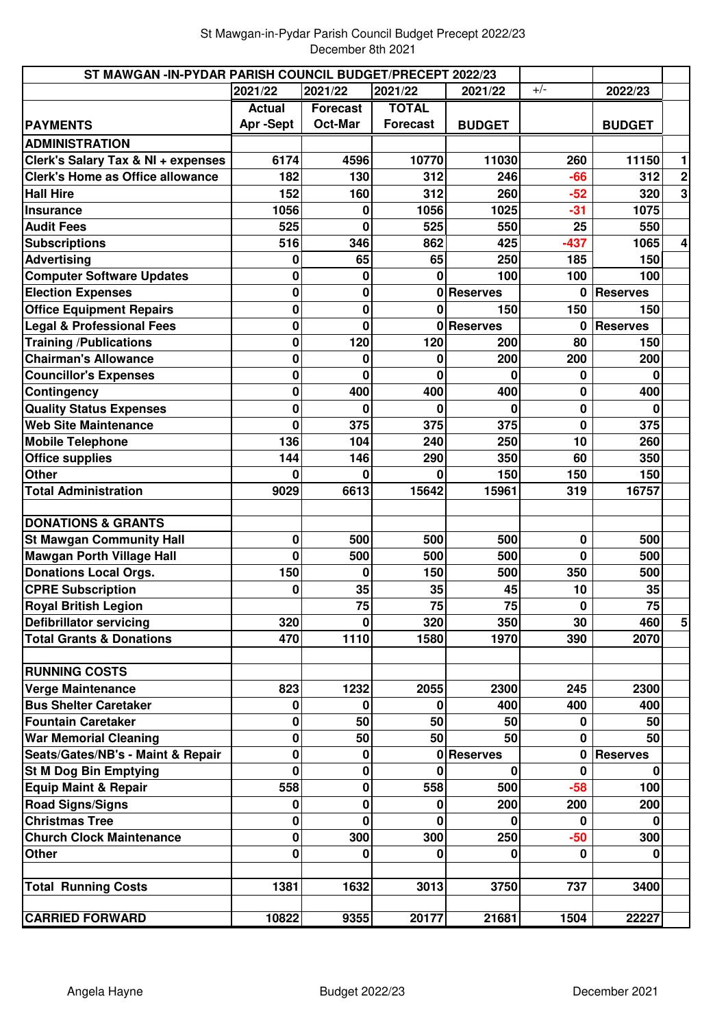| ST MAWGAN -IN-PYDAR PARISH COUNCIL BUDGET/PRECEPT 2022/23 |               |                 |                 |                 |             |                 |             |
|-----------------------------------------------------------|---------------|-----------------|-----------------|-----------------|-------------|-----------------|-------------|
|                                                           | 2021/22       | 2021/22         | 2021/22         | 2021/22         | $+/-$       | 2022/23         |             |
|                                                           | <b>Actual</b> | <b>Forecast</b> | <b>TOTAL</b>    |                 |             |                 |             |
| <b>PAYMENTS</b>                                           | Apr-Sept      | Oct-Mar         | <b>Forecast</b> | <b>BUDGET</b>   |             | <b>BUDGET</b>   |             |
| <b>ADMINISTRATION</b>                                     |               |                 |                 |                 |             |                 |             |
| Clerk's Salary Tax & NI + expenses                        | 6174          | 4596            | 10770           | 11030           | 260         | 11150           | 1           |
| <b>Clerk's Home as Office allowance</b>                   | 182           | 130             | 312             | 246             | $-66$       | 312             | $\mathbf 2$ |
| <b>Hall Hire</b>                                          | 152           | 160             | 312             | 260             | $-52$       | 320             |             |
| <b>Insurance</b>                                          | 1056          |                 | 1056            | 1025            | $-31$       | 1075            |             |
| <b>Audit Fees</b>                                         | 525           | 0               | 525             | 550             | 25          | 550             |             |
| <b>Subscriptions</b>                                      | 516           | 346             | 862             | 425             | $-437$      | 1065            | 4           |
| <b>Advertising</b>                                        | 0             | 65              | 65              | 250             | 185         | 150             |             |
| <b>Computer Software Updates</b>                          | 0             | 0               | 0               | 100             | 100         | 100             |             |
| <b>Election Expenses</b>                                  | 0             | 0               | 0               | <b>Reserves</b> | 0           | <b>Reserves</b> |             |
| <b>Office Equipment Repairs</b>                           | 0             | 0               | O               | 150             | 150         | 150             |             |
| <b>Legal &amp; Professional Fees</b>                      | 0             | $\Omega$        |                 | 0 Reserves      | 0           | <b>Reserves</b> |             |
| <b>Training /Publications</b>                             | 0             | 120             | 120             | 200             | 80          | 150             |             |
| <b>Chairman's Allowance</b>                               | 0             | 0               | 0               | 200             | 200         | 200             |             |
| <b>Councillor's Expenses</b>                              | 0             | O               | 0               | $\Omega$        | 0           | 0               |             |
| Contingency                                               | 0             | 400             | 400             | 400             | 0           | 400             |             |
| <b>Quality Status Expenses</b>                            | 0             |                 |                 | 0               | $\mathbf 0$ |                 |             |
| <b>Web Site Maintenance</b>                               | 0             | 375             | 375             | 375             | $\bf{0}$    | 375             |             |
| <b>Mobile Telephone</b>                                   | 136           | 104             | 240             | 250             | 10          | 260             |             |
| <b>Office supplies</b>                                    | 144           | 146             | 290             | 350             | 60          | 350             |             |
| <b>Other</b>                                              | 0             |                 | 0               | 150             | 150         | 150             |             |
| <b>Total Administration</b>                               | 9029          | 6613            | 15642           | 15961           | 319         | 16757           |             |
| <b>DONATIONS &amp; GRANTS</b>                             |               |                 |                 |                 |             |                 |             |
| <b>St Mawgan Community Hall</b>                           | 0             | 500             | 500             | 500             | $\pmb{0}$   | 500             |             |
| <b>Mawgan Porth Village Hall</b>                          | 0             | 500             | 500             | 500             | 0           | 500             |             |
| <b>Donations Local Orgs.</b>                              | 150           | $\Omega$        | 150             | 500             | 350         | 500             |             |
| <b>CPRE Subscription</b>                                  | 0             | 35              | 35              | 45              | 10          | 35              |             |
| <b>Royal British Legion</b>                               |               | 75              | 75              | 75              | 0           | 75              |             |
| <b>Defibrillator servicing</b>                            | 320           | 0               | 320             | 350             | 30          | 460             | 5           |
| <b>Total Grants &amp; Donations</b>                       | 470           | 1110            | 1580            | 1970            | 390         | 2070            |             |
| <b>RUNNING COSTS</b>                                      |               |                 |                 |                 |             |                 |             |
| <b>Verge Maintenance</b>                                  | 823           | 1232            | 2055            | 2300            | 245         | 2300            |             |
| <b>Bus Shelter Caretaker</b>                              | 0             | 0               | 0               | 400             | 400         | 400             |             |
| <b>Fountain Caretaker</b>                                 | 0             | 50              | 50              | 50              | 0           | 50              |             |
| <b>War Memorial Cleaning</b>                              | 0             | 50              | 50              | 50              | 0           | 50              |             |
| Seats/Gates/NB's - Maint & Repair                         | 0             | 0               | 0               | <b>Reserves</b> | 0           | <b>Reserves</b> |             |
| <b>St M Dog Bin Emptying</b>                              | 0             | $\bf{0}$        | U               | 0               | $\mathbf 0$ | 0               |             |
| <b>Equip Maint &amp; Repair</b>                           | 558           | 0               | 558             | 500             | $-58$       | 100             |             |
| <b>Road Signs/Signs</b>                                   | 0             | 0               | 0               | 200             | 200         | 200             |             |
| <b>Christmas Tree</b>                                     | 0             | O               | O               | 0               | 0           | ŋ               |             |
| <b>Church Clock Maintenance</b>                           | 0             | 300             | 300             | 250             | $-50$       | 300             |             |
| Other                                                     | 0             | 0               | 0               | 0               | 0           |                 |             |
|                                                           |               |                 |                 |                 |             |                 |             |
| <b>Total Running Costs</b>                                | 1381          | 1632            | 3013            | 3750            | 737         | 3400            |             |
| <b>CARRIED FORWARD</b>                                    | 10822         | 9355            | 20177           | 21681           | 1504        | 22227           |             |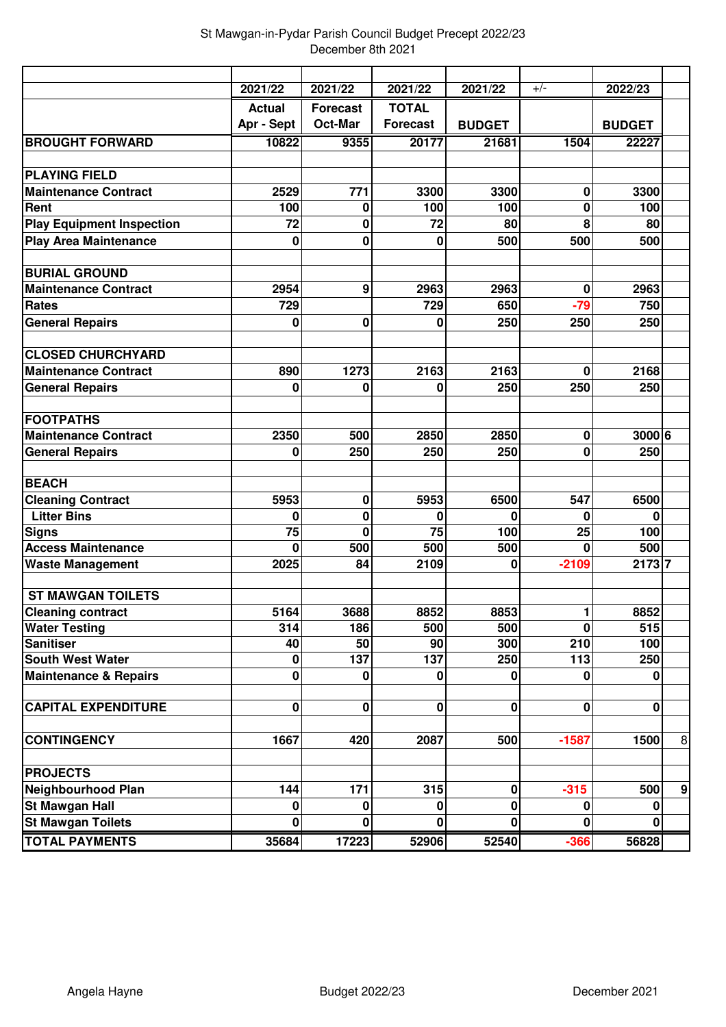|                                  | 2021/22       | 2021/22         | 2021/22         | 2021/22       | $+/-$       | 2022/23       |                  |
|----------------------------------|---------------|-----------------|-----------------|---------------|-------------|---------------|------------------|
|                                  | <b>Actual</b> | <b>Forecast</b> | <b>TOTAL</b>    |               |             |               |                  |
|                                  | Apr - Sept    | Oct-Mar         | <b>Forecast</b> | <b>BUDGET</b> |             | <b>BUDGET</b> |                  |
| <b>BROUGHT FORWARD</b>           | 10822         | 9355            | 20177           | 21681         | 1504        | 22227         |                  |
|                                  |               |                 |                 |               |             |               |                  |
| <b>PLAYING FIELD</b>             |               |                 |                 |               |             |               |                  |
| <b>Maintenance Contract</b>      | 2529          | 771             | 3300            | 3300          | 0           | 3300          |                  |
| Rent                             | 100           | 0               | 100             | 100           | 0           | 100           |                  |
| <b>Play Equipment Inspection</b> | 72            | 0               | 72              | 80            | 8           | 80            |                  |
| <b>Play Area Maintenance</b>     | $\bf{0}$      | 0               | 0               | 500           | 500         | 500           |                  |
|                                  |               |                 |                 |               |             |               |                  |
| <b>BURIAL GROUND</b>             |               |                 |                 |               |             |               |                  |
| <b>Maintenance Contract</b>      | 2954          | 9               | 2963            | 2963          | 0           | 2963          |                  |
| <b>Rates</b>                     | 729           |                 | 729             | 650           | $-79$       | 750           |                  |
| <b>General Repairs</b>           | 0             | 0               | 0               | 250           | 250         | 250           |                  |
| <b>CLOSED CHURCHYARD</b>         |               |                 |                 |               |             |               |                  |
| <b>Maintenance Contract</b>      | 890           | 1273            | 2163            | 2163          | 0           | 2168          |                  |
| <b>General Repairs</b>           | 0             | 0               | 0               | 250           | 250         | 250           |                  |
|                                  |               |                 |                 |               |             |               |                  |
| <b>FOOTPATHS</b>                 |               |                 |                 |               |             |               |                  |
| <b>Maintenance Contract</b>      | 2350          | 500             | 2850            | 2850          | $\bf{0}$    | 3000 6        |                  |
| <b>General Repairs</b>           | 0             | 250             | 250             | 250           | 0           | 250           |                  |
|                                  |               |                 |                 |               |             |               |                  |
| <b>BEACH</b>                     |               |                 |                 |               |             |               |                  |
| <b>Cleaning Contract</b>         | 5953          | 0               | 5953            | 6500          | 547         | 6500          |                  |
| <b>Litter Bins</b>               | 0             | 0               | 0               | 0             | 0           | O             |                  |
| <b>Signs</b>                     | 75            | $\mathbf 0$     | 75              | 100           | 25          | 100           |                  |
| <b>Access Maintenance</b>        | $\bf{0}$      | 500             | 500             | 500           | 0           | 500           |                  |
| <b>Waste Management</b>          | 2025          | 84              | 2109            | 0             | $-2109$     | 21737         |                  |
| <b>ST MAWGAN TOILETS</b>         |               |                 |                 |               |             |               |                  |
| <b>Cleaning contract</b>         | 5164          | 3688            | 8852            | 8853          | 1           | 8852          |                  |
| <b>Water Testing</b>             | 314           | 186             | 500             | 500           | $\mathbf 0$ | 515           |                  |
| <b>Sanitiser</b>                 | 40            | 50              | 90              | 300           | 210         | 100           |                  |
| <b>South West Water</b>          | 0             | 137             | 137             | 250           | 113         | 250           |                  |
| <b>Maintenance &amp; Repairs</b> | $\mathbf 0$   | 0               | 0               | $\bf{0}$      | $\bf{0}$    | $\bf{0}$      |                  |
|                                  |               |                 |                 |               |             |               |                  |
| <b>CAPITAL EXPENDITURE</b>       | $\bf{0}$      | $\mathbf 0$     | $\bf{0}$        | 0             | 0           | 0             |                  |
| <b>CONTINGENCY</b>               | 1667          | 420             | 2087            | 500           | $-1587$     | 1500          | $\, 8$           |
|                                  |               |                 |                 |               |             |               |                  |
| <b>PROJECTS</b>                  |               |                 |                 |               |             |               |                  |
| <b>Neighbourhood Plan</b>        | 144           | 171             | 315             | 0             | $-315$      | 500           | $\boldsymbol{9}$ |
| <b>St Mawgan Hall</b>            | $\bf{0}$      | 0               | 0               | 0             | 0           | 0             |                  |
| <b>St Mawgan Toilets</b>         | $\bf{0}$      | 0               | 0               | $\mathbf{0}$  | $\Omega$    | $\Omega$      |                  |
| <b>TOTAL PAYMENTS</b>            | 35684         | 17223           | 52906           | 52540         | $-366$      | 56828         |                  |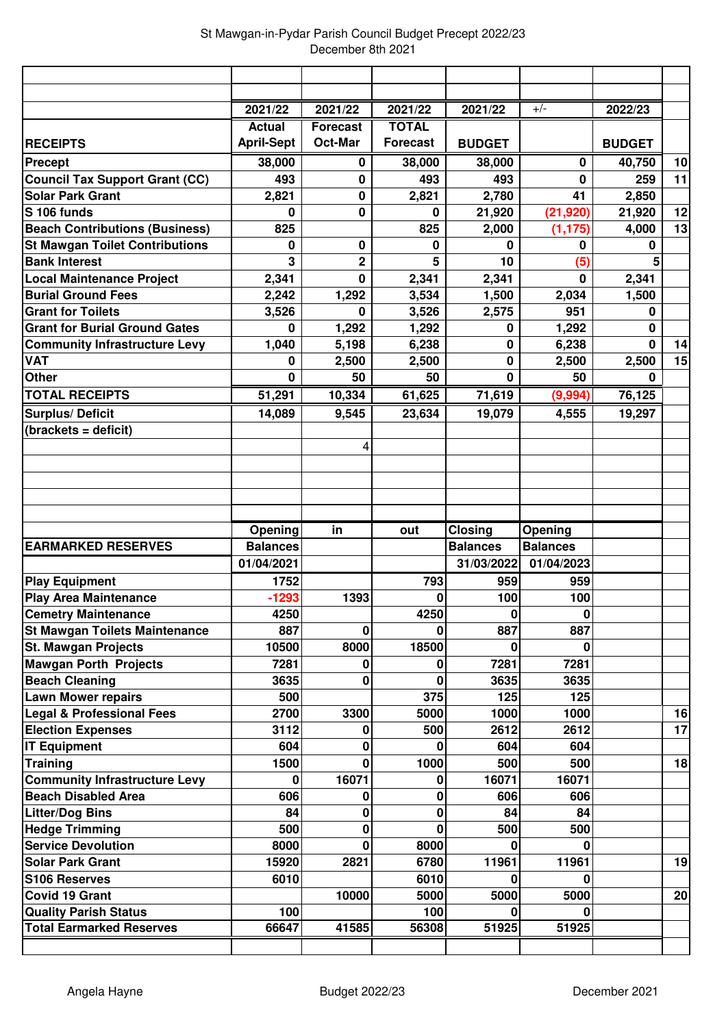|                                                      | 2021/22           | 2021/22         | 2021/22         | 2021/22         | $+/-$           | 2022/23       |    |
|------------------------------------------------------|-------------------|-----------------|-----------------|-----------------|-----------------|---------------|----|
|                                                      | <b>Actual</b>     | <b>Forecast</b> | <b>TOTAL</b>    |                 |                 |               |    |
| <b>RECEIPTS</b>                                      | <b>April-Sept</b> | <b>Oct-Mar</b>  | <b>Forecast</b> | <b>BUDGET</b>   |                 | <b>BUDGET</b> |    |
| <b>Precept</b>                                       | 38,000            | 0               | 38,000          | 38,000          | 0               | 40,750        | 10 |
| <b>Council Tax Support Grant (CC)</b>                | 493               | 0               | 493             | 493             | $\bf{0}$        | 259           | 11 |
| <b>Solar Park Grant</b>                              | 2,821             | 0               | 2,821           | 2,780           | 41              | 2,850         |    |
| S 106 funds                                          | 0                 | 0               | 0               | 21,920          | (21, 920)       | 21,920        | 12 |
| <b>Beach Contributions (Business)</b>                | 825               |                 | 825             | 2,000           | (1, 175)        | 4,000         | 13 |
| <b>St Mawgan Toilet Contributions</b>                | 0                 | 0               | 0               | 0               | 0               | $\bf{0}$      |    |
| <b>Bank Interest</b>                                 | 3                 | $\overline{2}$  | 5               | 10              | (5)             |               |    |
| <b>Local Maintenance Project</b>                     | 2,341             | $\bf{0}$        | 2,341           | 2,341           | $\bf{0}$        | 2,341         |    |
| <b>Burial Ground Fees</b>                            | 2,242             | 1,292           | 3,534           | 1,500           | 2,034           | 1,500         |    |
| <b>Grant for Toilets</b>                             | 3,526             | 0               | 3,526           | 2,575           | 951             | $\bf{0}$      |    |
| <b>Grant for Burial Ground Gates</b>                 | 0                 | 1,292           | 1,292           | 0               | 1,292           | $\bf{0}$      |    |
| <b>Community Infrastructure Levy</b>                 | 1,040             | 5,198           | 6,238           | 0               | 6,238           | $\bf{0}$      | 14 |
| <b>VAT</b>                                           | 0                 | 2,500           | 2,500           | $\mathbf 0$     | 2,500           | 2,500         | 15 |
| <b>Other</b>                                         | $\bf{0}$          | 50              | 50              | $\bf{0}$        | 50              | 0             |    |
| <b>TOTAL RECEIPTS</b>                                | 51,291            | 10,334          | 61,625          | 71,619          | (9,994)         | 76,125        |    |
| <b>Surplus/Deficit</b>                               | 14,089            | 9,545           | 23,634          | 19,079          | 4,555           | 19,297        |    |
| (brackets = deficit)                                 |                   |                 |                 |                 |                 |               |    |
|                                                      |                   | 4               |                 |                 |                 |               |    |
|                                                      |                   |                 |                 |                 |                 |               |    |
|                                                      |                   |                 |                 |                 |                 |               |    |
|                                                      |                   |                 |                 |                 |                 |               |    |
|                                                      |                   |                 |                 |                 |                 |               |    |
|                                                      |                   |                 |                 |                 |                 |               |    |
|                                                      |                   |                 |                 |                 |                 |               |    |
|                                                      | Opening           | in              | out             | <b>Closing</b>  | Opening         |               |    |
| <b>EARMARKED RESERVES</b>                            | <b>Balances</b>   |                 |                 | <b>Balances</b> | <b>Balances</b> |               |    |
|                                                      | 01/04/2021        |                 |                 | 31/03/2022      | 01/04/2023      |               |    |
| <b>Play Equipment</b>                                | 1752              |                 | 793             | 959             | 959             |               |    |
| <b>Play Area Maintenance</b>                         | $-1293$           | 1393            | 0               | 100             | 100             |               |    |
| <b>Cemetry Maintenance</b>                           | 4250              |                 | 4250<br>O       | U               | 0               |               |    |
| <b>St Mawgan Toilets Maintenance</b>                 | 887               | 0               |                 | 887             | 887             |               |    |
| <b>St. Mawgan Projects</b>                           | 10500             | 8000            | 18500           | 0               | 0               |               |    |
| <b>Mawgan Porth Projects</b>                         | 7281              | 0               | 0               | 7281            | 7281            |               |    |
| <b>Beach Cleaning</b>                                | 3635              | 0               | 0               | 3635            | 3635            |               |    |
| <b>Lawn Mower repairs</b>                            | 500               |                 | 375             | 125             | 125             |               |    |
| <b>Legal &amp; Professional Fees</b>                 | 2700              | 3300            | 5000            | 1000            | 1000            |               | 16 |
| <b>Election Expenses</b>                             | 3112              | 0               | 500<br>0        | 2612            | 2612            |               | 17 |
| <b>IT Equipment</b>                                  | 604               | 0<br>0          |                 | 604             | 604             |               |    |
| <b>Training</b>                                      | 1500<br>0         |                 | 1000<br>0       | 500             | 500             |               | 18 |
| <b>Community Infrastructure Levy</b>                 |                   | 16071           | 0               | 16071           | 16071<br>606    |               |    |
| <b>Beach Disabled Area</b>                           | 606<br>84         | 0<br>0          | 0               | 606<br>84       | 84              |               |    |
| <b>Litter/Dog Bins</b>                               | 500               | 0               | 0               | 500             | 500             |               |    |
| <b>Hedge Trimming</b>                                |                   | 0               |                 | O               | U               |               |    |
| <b>Service Devolution</b><br><b>Solar Park Grant</b> | 8000<br>15920     |                 | 8000<br>6780    |                 |                 |               |    |
| S106 Reserves                                        | 6010              | 2821            | 6010            | 11961<br>Ω      | 11961<br>0      |               | 19 |
| <b>Covid 19 Grant</b>                                |                   | 10000           | 5000            | 5000            | 5000            |               | 20 |
| <b>Quality Parish Status</b>                         | 100               |                 | 100             |                 |                 |               |    |
| <b>Total Earmarked Reserves</b>                      | 66647             | 41585           | 56308           | 51925           | 51925           |               |    |